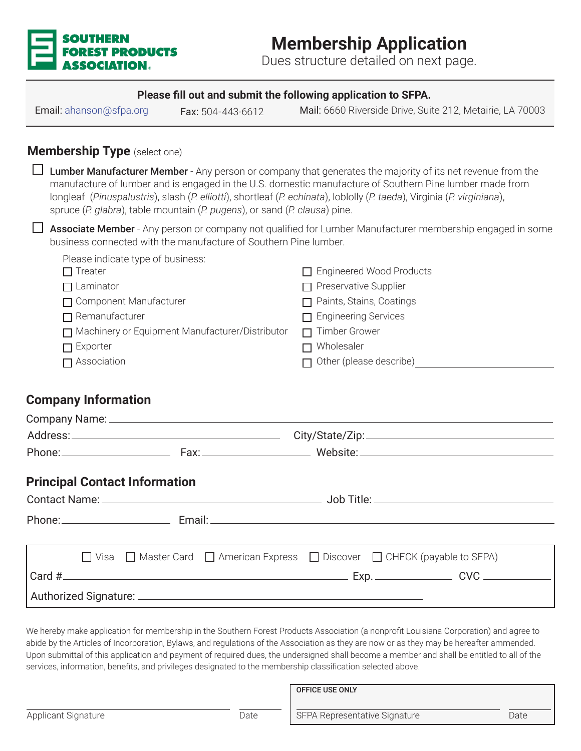

# **Membership Application**

Dues structure detailed on next page.

#### **Please fill out and submit the following application to SFPA.**

Email: ahanson@sfpa.org Fax: 504-443-6612 Mail: 6660 Riverside Drive, Suite 212, Metairie, LA 70003

### **Membership Type** (select one)

**L** Lumber Manufacturer Member - Any person or company that generates the majority of its net revenue from the manufacture of lumber and is engaged in the U.S. domestic manufacture of Southern Pine lumber made from longleaf (*Pinuspalustris*), slash (*P. elliotti*), shortleaf (*P. echinata*), loblolly (*P. taeda*), Virginia (*P. virginiana*), spruce (*P. glabra*), table mountain (*P. pugens*), or sand (*P. clausa*) pine.

**L** Associate Member - Any person or company not qualified for Lumber Manufacturer membership engaged in some business connected with the manufacture of Southern Pine lumber.

| Please indicate type of business:               |                                 |
|-------------------------------------------------|---------------------------------|
| $\Box$ Treater                                  | □ Engineered Wood Products      |
| $\Box$ Laminator                                | $\Box$ Preservative Supplier    |
| □ Component Manufacturer                        | $\Box$ Paints, Stains, Coatings |
| $\Box$ Remanufacturer                           | $\Box$ Engineering Services     |
| Machinery or Equipment Manufacturer/Distributor | $\Box$ Timber Grower            |
| $\Box$ Exporter                                 | $\Box$ Wholesaler               |
| $\Box$ Association                              | $\Box$ Other (please describe)  |

#### **Company Information**

|               |  |                                      |                                                                                                                                                                                                                                |  |  | Phone: Fax: Fax: Website: Website: Newslette: 2008 |
|---------------|--|--------------------------------------|--------------------------------------------------------------------------------------------------------------------------------------------------------------------------------------------------------------------------------|--|--|----------------------------------------------------|
|               |  | <b>Principal Contact Information</b> |                                                                                                                                                                                                                                |  |  |                                                    |
|               |  |                                      |                                                                                                                                                                                                                                |  |  |                                                    |
|               |  |                                      | Phone: Email: Email: Email: Email: Email: Email: Email: Email: Email: Email: Email: Email: Email: Email: Email: Email: Email: Email: Email: Email: Email: Email: Email: Email: Email: Email: Email: Email: Email: Email: Email |  |  |                                                    |
| $\mathcal{L}$ |  |                                      | $\Box$ Visa $\Box$ Master Card $\Box$ American Express $\Box$ Discover $\Box$ CHECK (payable to SFPA)                                                                                                                          |  |  |                                                    |
|               |  |                                      |                                                                                                                                                                                                                                |  |  |                                                    |
|               |  |                                      |                                                                                                                                                                                                                                |  |  |                                                    |

We hereby make application for membership in the Southern Forest Products Association (a nonprofit Louisiana Corporation) and agree to abide by the Articles of Incorporation, Bylaws, and regulations of the Association as they are now or as they may be hereafter ammended. Upon submittal of this application and payment of required dues, the undersigned shall become a member and shall be entitled to all of the services, information, benefits, and privileges designated to the membership classification selected above.

|                            |      | <b>OFFICE USE ONLY</b>        |      |
|----------------------------|------|-------------------------------|------|
| <b>Applicant Signature</b> | Date | SFPA Representative Signature | Date |